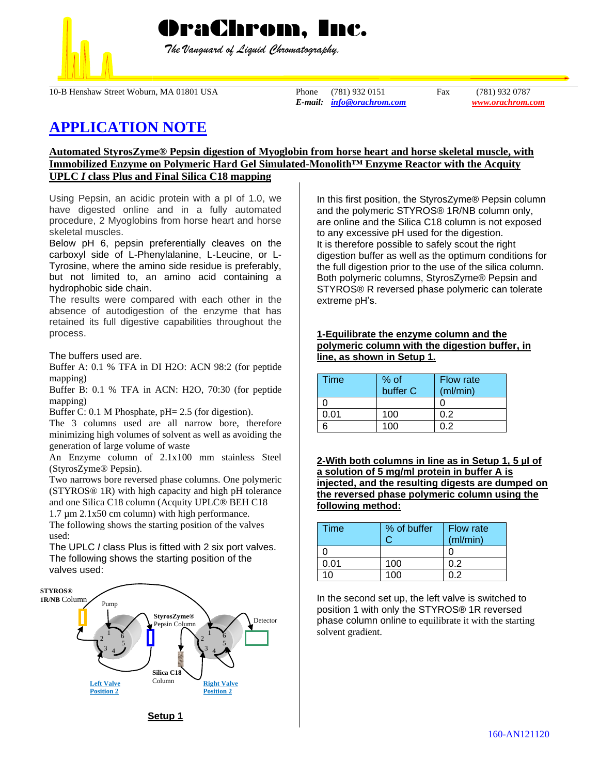

 *The Vanguard of Liquid Chromatography.*

10-B Henshaw Street Woburn, MA 01801 USA Phone (781) 932 0151 Fax (781) 932 0787

*E-mail: [info@orachrom.com](mailto:info@orachrom.com) www.orachrom.com*

# **APPLICATION NOTE**

## **Automated StyrosZyme® Pepsin digestion of Myoglobin from horse heart and horse skeletal muscle, with Immobilized Enzyme on Polymeric Hard Gel Simulated-Monolith™ Enzyme Reactor with the Acquity UPLC** *I* **class Plus and Final Silica C18 mapping**

Using Pepsin, an acidic protein with a pI of 1.0, we have digested online and in a fully automated procedure, 2 Myoglobins from horse heart and horse skeletal muscles.

Below pH 6, pepsin preferentially cleaves on the carboxyl side of L-Phenylalanine, L-Leucine, or L-Tyrosine, where the amino side residue is preferably, but not limited to, an amino acid containing a hydrophobic side chain.

The results were compared with each other in the absence of autodigestion of the enzyme that has retained its full digestive capabilities throughout the process.

The buffers used are.

Buffer A: 0.1 % TFA in DI H2O: ACN 98:2 (for peptide mapping)

Buffer B: 0.1 % TFA in ACN: H2O, 70:30 (for peptide mapping)

Buffer C: 0.1 M Phosphate, pH= 2.5 (for digestion).

The 3 columns used are all narrow bore, therefore minimizing high volumes of solvent as well as avoiding the generation of large volume of waste

An Enzyme column of 2.1x100 mm stainless Steel (StyrosZyme® Pepsin).

Two narrows bore reversed phase columns. One polymeric (STYROS® 1R) with high capacity and high pH tolerance and one Silica C18 column (Acquity UPLC® BEH C18 1.7 µm 2.1x50 cm column) with high performance.

The following shows the starting position of the valves used:

The UPLC *I* class Plus is fitted with 2 six port valves. The following shows the starting position of the valves used:



In this first position, the StyrosZyme® Pepsin column and the polymeric STYROS® 1R/NB column only, are online and the Silica C18 column is not exposed to any excessive pH used for the digestion. It is therefore possible to safely scout the right digestion buffer as well as the optimum conditions for the full digestion prior to the use of the silica column. Both polymeric columns, StyrosZyme® Pepsin and STYROS® R reversed phase polymeric can tolerate extreme pH's.

### **1-Equilibrate the enzyme column and the polymeric column with the digestion buffer, in line, as shown in Setup 1.**

| Time | $%$ of<br>buffer C | Flow rate<br>(ml/min) |
|------|--------------------|-----------------------|
|      |                    |                       |
| ი ი1 | 100                | በ 2                   |
|      | 1 በበ               |                       |

**2-With both columns in line as in Setup 1, 5 µl of a solution of 5 mg/ml protein in buffer A is injected, and the resulting digests are dumped on the reversed phase polymeric column using the following method:**

| Time | % of buffer | <b>Flow rate</b><br>(ml/min) |
|------|-------------|------------------------------|
|      |             |                              |
| 0.01 | 100         | 0.2                          |
| 10   | 1ሰበ         | በ 2                          |

In the second set up, the left valve is switched to position 1 with only the STYROS® 1R reversed phase column online to equilibrate it with the starting solvent gradient.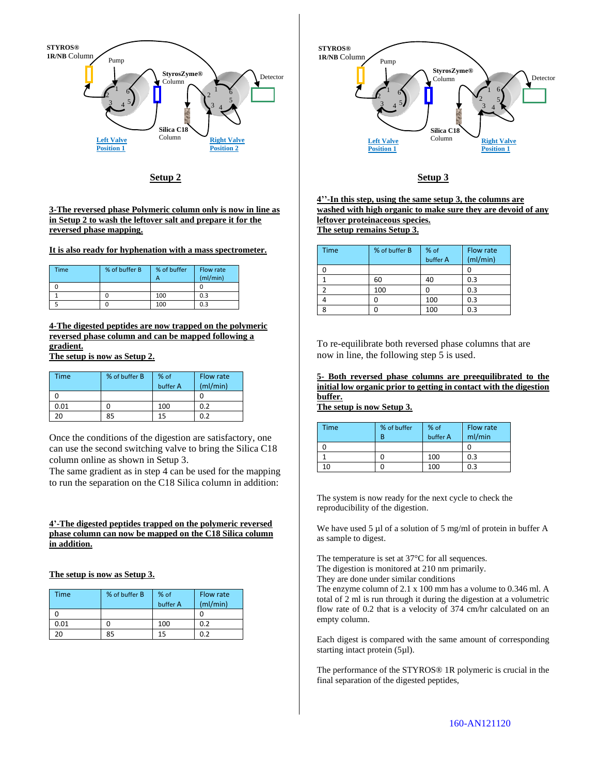

**Setup 2**

**3-The reversed phase Polymeric column only is now in line as in Setup 2 to wash the leftover salt and prepare it for the reversed phase mapping.** 

**It is also ready for hyphenation with a mass spectrometer.** 

| Time | % of buffer B | % of buffer | Flow rate<br>(mI/min) |
|------|---------------|-------------|-----------------------|
|      |               |             |                       |
|      |               | 100         | 0.3                   |
|      |               | 100         | 0.3                   |

**4-The digested peptides are now trapped on the polymeric reversed phase column and can be mapped following a gradient.**

**The setup is now as Setup 2.**

| Time | % of buffer B | % of<br>buffer A | Flow rate<br>(mI/min) |
|------|---------------|------------------|-----------------------|
|      |               |                  |                       |
| 0.01 |               | 100              | 0.2                   |
| 20   | 85            | 15               | 0.2                   |

Once the conditions of the digestion are satisfactory, one can use the second switching valve to bring the Silica C18 column online as shown in Setup 3.

The same gradient as in step 4 can be used for the mapping to run the separation on the C18 Silica column in addition:

#### **4'-The digested peptides trapped on the polymeric reversed phase column can now be mapped on the C18 Silica column in addition.**

**The setup is now as Setup 3.**

| Time | % of buffer B | % of<br>buffer A | Flow rate<br>(mI/min) |
|------|---------------|------------------|-----------------------|
|      |               |                  |                       |
| 0.01 |               | 100              | 0.2                   |
|      | 85            | 15               | በ ን                   |



#### **Setup 3**

**4''-In this step, using the same setup 3, the columns are washed with high organic to make sure they are devoid of any leftover proteinaceous species. The setup remains Setup 3.**

| <b>Time</b> | % of buffer B | % of<br>buffer A | Flow rate |
|-------------|---------------|------------------|-----------|
|             |               |                  | (mI/min)  |
|             |               |                  |           |
|             | 60            | 40               | 0.3       |
|             | 100           |                  | 0.3       |
|             |               | 100              | 0.3       |
| Ջ           |               | 100              | 0.3       |

To re-equilibrate both reversed phase columns that are now in line, the following step 5 is used.

**5- Both reversed phase columns are preequilibrated to the initial low organic prior to getting in contact with the digestion buffer.** 

**The setup is now Setup 3.**

| <b>Time</b> | % of buffer<br>R | % of<br>buffer A | Flow rate<br>ml/min |
|-------------|------------------|------------------|---------------------|
|             |                  |                  |                     |
|             |                  | 100              | 0.3                 |
| 10          |                  | 100              | 0.3                 |

The system is now ready for the next cycle to check the reproducibility of the digestion.

We have used 5 µl of a solution of 5 mg/ml of protein in buffer A as sample to digest.

The temperature is set at 37°C for all sequences. The digestion is monitored at 210 nm primarily.

They are done under similar conditions

The enzyme column of 2.1 x 100 mm has a volume to 0.346 ml. A total of 2 ml is run through it during the digestion at a volumetric flow rate of 0.2 that is a velocity of 374 cm/hr calculated on an empty column.

Each digest is compared with the same amount of corresponding starting intact protein (5µl).

The performance of the STYROS® 1R polymeric is crucial in the final separation of the digested peptides,